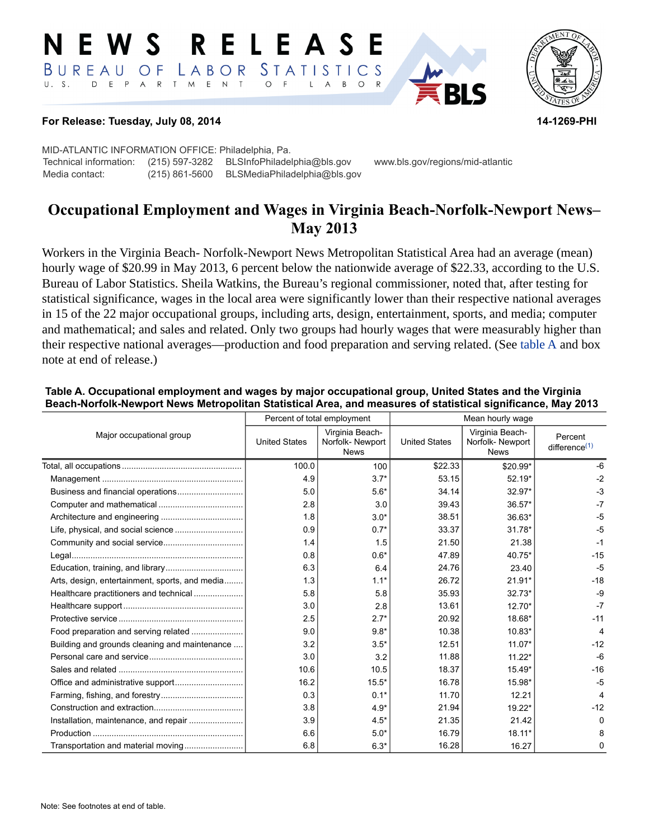#### RELEASE E W S STATISTICS BUREAU O F LABOR D E P A R T M E N T  $\circ$  $U. S.$  $\overline{F}$  $B$  $\circ$  $\mathsf{L}$  $\overline{A}$



#### **For Release: Tuesday, July 08, 2014 14-1269-PHI**

MID-ATLANTIC INFORMATION OFFICE: Philadelphia, Pa. Technical information: (215) 597-3282 BLSInfoPhiladelphia@bls.gov www.bls.gov/regions/mid-atlantic Media contact: (215) 861-5600 BLSMediaPhiladelphia@bls.gov

# **Occupational Employment and Wages in Virginia Beach-Norfolk-Newport News– May 2013**

Workers in the Virginia Beach- Norfolk-Newport News Metropolitan Statistical Area had an average (mean) hourly wage of \$20.99 in May 2013, 6 percent below the nationwide average of \$22.33, according to the U.S. Bureau of Labor Statistics. Sheila Watkins, the Bureau's regional commissioner, noted that, after testing for statistical significance, wages in the local area were significantly lower than their respective national averages in 15 of the 22 major occupational groups, including arts, design, entertainment, sports, and media; computer and mathematical; and sales and related. Only two groups had hourly wages that were measurably higher than their respective national averages—production and food preparation and serving related. (See table A and box note at end of release.)

|                                                |                      | Percent of total employment                       | Mean hourly wage     |                                                   |                             |
|------------------------------------------------|----------------------|---------------------------------------------------|----------------------|---------------------------------------------------|-----------------------------|
| Major occupational group                       | <b>United States</b> | Virginia Beach-<br>Norfolk-Newport<br><b>News</b> | <b>United States</b> | Virginia Beach-<br>Norfolk-Newport<br><b>News</b> | Percent<br>difference $(1)$ |
|                                                | 100.0                | 100                                               | \$22.33              | \$20.99*                                          | -6                          |
|                                                | 4.9                  | $3.7*$                                            | 53.15                | $52.19*$                                          | $-2$                        |
|                                                | 5.0                  | $5.6*$                                            | 34.14                | 32.97*                                            | $-3$                        |
|                                                | 2.8                  | 3.0                                               | 39.43                | $36.57*$                                          | $-7$                        |
|                                                | 1.8                  | $3.0*$                                            | 38.51                | 36.63*                                            | $-5$                        |
|                                                | 0.9                  | $0.7*$                                            | 33.37                | $31.78*$                                          | $-5$                        |
|                                                | 1.4                  | 1.5                                               | 21.50                | 21.38                                             | $-1$                        |
|                                                | 0.8                  | $0.6*$                                            | 47.89                | 40.75*                                            | $-15$                       |
|                                                | 6.3                  | 6.4                                               | 24.76                | 23.40                                             | $-5$                        |
| Arts, design, entertainment, sports, and media | 1.3                  | $1.1*$                                            | 26.72                | $21.91*$                                          | $-18$                       |
| Healthcare practitioners and technical         | 5.8                  | 5.8                                               | 35.93                | $32.73*$                                          | $-9$                        |
|                                                | 3.0                  | 2.8                                               | 13.61                | $12.70*$                                          | $-7$                        |
|                                                | 2.5                  | $2.7*$                                            | 20.92                | 18.68*                                            | $-11$                       |
| Food preparation and serving related           | 9.0                  | $9.8*$                                            | 10.38                | 10.83*                                            | 4                           |
| Building and grounds cleaning and maintenance  | 3.2                  | $3.5*$                                            | 12.51                | $11.07*$                                          | $-12$                       |
|                                                | 3.0                  | 3.2                                               | 11.88                | $11.22*$                                          | $-6$                        |
|                                                | 10.6                 | 10.5                                              | 18.37                | $15.49*$                                          | $-16$                       |
|                                                | 16.2                 | $15.5*$                                           | 16.78                | 15.98*                                            | $-5$                        |
|                                                | 0.3                  | $0.1*$                                            | 11.70                | 12.21                                             | 4                           |
|                                                | 3.8                  | $4.9*$                                            | 21.94                | $19.22*$                                          | $-12$                       |
| Installation, maintenance, and repair          | 3.9                  | $4.5*$                                            | 21.35                | 21.42                                             | ŋ                           |
|                                                | 6.6                  | $5.0*$                                            | 16.79                | $18.11*$                                          | 8                           |
| Transportation and material moving             | 6.8                  | $6.3*$                                            | 16.28                | 16.27                                             | 0                           |

### **Table A. Occupational employment and wages by major occupational group, United States and the Virginia Beach-Norfolk-Newport News Metropolitan Statistical Area, and measures of statistical significance, May 2013**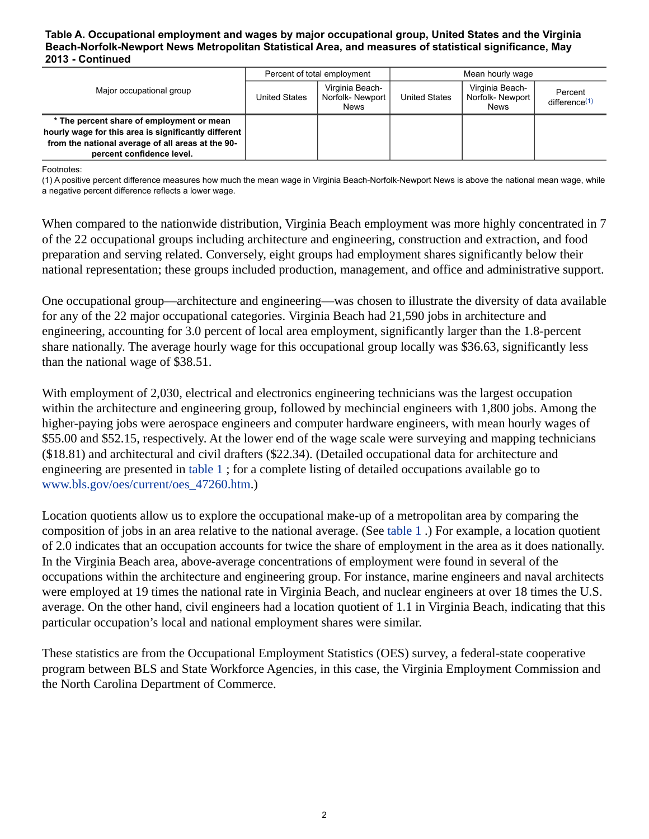#### **Table A. Occupational employment and wages by major occupational group, United States and the Virginia Beach-Norfolk-Newport News Metropolitan Statistical Area, and measures of statistical significance, May 2013 - Continued**

| Major occupational group                                                                          | Percent of total employment |                                            | Mean hourly wage     |                                                   |                                      |
|---------------------------------------------------------------------------------------------------|-----------------------------|--------------------------------------------|----------------------|---------------------------------------------------|--------------------------------------|
|                                                                                                   | United States               | Virginia Beach-<br>Norfolk-Newport<br>News | <b>United States</b> | Virginia Beach-<br>Norfolk-Newport<br><b>News</b> | Percent<br>difference <sup>(1)</sup> |
| * The percent share of employment or mean<br>hourly wage for this area is significantly different |                             |                                            |                      |                                                   |                                      |
| from the national average of all areas at the 90-                                                 |                             |                                            |                      |                                                   |                                      |
| percent confidence level.                                                                         |                             |                                            |                      |                                                   |                                      |

<span id="page-1-0"></span>Footnotes:

(1) A positive percent difference measures how much the mean wage in Virginia Beach-Norfolk-Newport News is above the national mean wage, while a negative percent difference reflects a lower wage.

When compared to the nationwide distribution, Virginia Beach employment was more highly concentrated in 7 of the 22 occupational groups including architecture and engineering, construction and extraction, and food preparation and serving related. Conversely, eight groups had employment shares significantly below their national representation; these groups included production, management, and office and administrative support.

One occupational group—architecture and engineering—was chosen to illustrate the diversity of data available for any of the 22 major occupational categories. Virginia Beach had 21,590 jobs in architecture and engineering, accounting for 3.0 percent of local area employment, significantly larger than the 1.8-percent share nationally. The average hourly wage for this occupational group locally was \$36.63, significantly less than the national wage of \$38.51.

With employment of 2,030, electrical and electronics engineering technicians was the largest occupation within the architecture and engineering group, followed by mechincial engineers with 1,800 jobs. Among the higher-paying jobs were aerospace engineers and computer hardware engineers, with mean hourly wages of \$55.00 and \$52.15, respectively. At the lower end of the wage scale were surveying and mapping technicians (\$18.81) and architectural and civil drafters (\$22.34). (Detailed occupational data for architecture and engineering are presented in [table 1](#page-4-0) ; for a complete listing of detailed occupations available go to [www.bls.gov/oes/current/oes\\_47260.htm](https://www.bls.gov/oes/current/oes_47260.htm).)

Location quotients allow us to explore the occupational make-up of a metropolitan area by comparing the composition of jobs in an area relative to the national average. (See [table 1](#page-4-0) .) For example, a location quotient of 2.0 indicates that an occupation accounts for twice the share of employment in the area as it does nationally. In the Virginia Beach area, above-average concentrations of employment were found in several of the occupations within the architecture and engineering group. For instance, marine engineers and naval architects were employed at 19 times the national rate in Virginia Beach, and nuclear engineers at over 18 times the U.S. average. On the other hand, civil engineers had a location quotient of 1.1 in Virginia Beach, indicating that this particular occupation's local and national employment shares were similar.

These statistics are from the Occupational Employment Statistics (OES) survey, a federal-state cooperative program between BLS and State Workforce Agencies, in this case, the Virginia Employment Commission and the North Carolina Department of Commerce.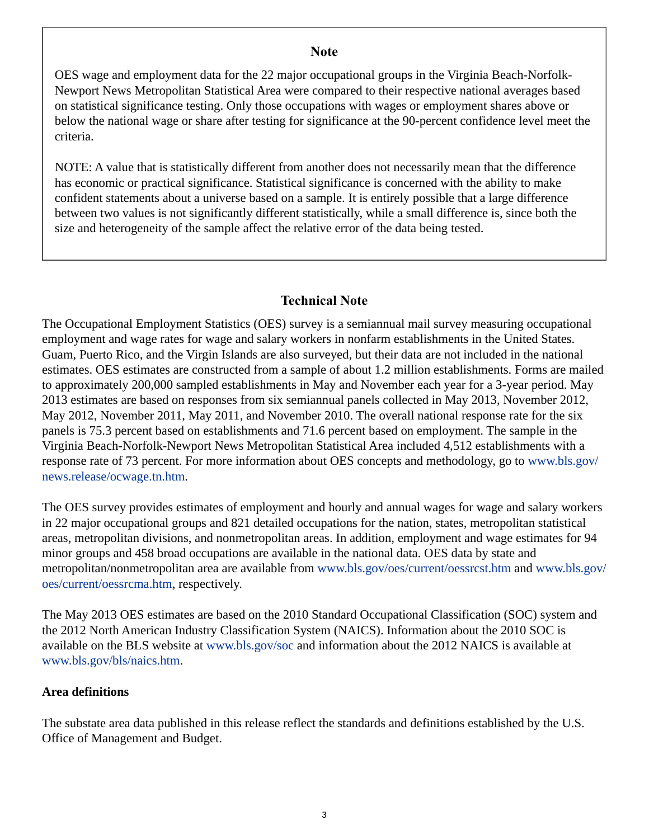## **Note**

OES wage and employment data for the 22 major occupational groups in the Virginia Beach-Norfolk-Newport News Metropolitan Statistical Area were compared to their respective national averages based on statistical significance testing. Only those occupations with wages or employment shares above or below the national wage or share after testing for significance at the 90-percent confidence level meet the criteria.

NOTE: A value that is statistically different from another does not necessarily mean that the difference has economic or practical significance. Statistical significance is concerned with the ability to make confident statements about a universe based on a sample. It is entirely possible that a large difference between two values is not significantly different statistically, while a small difference is, since both the size and heterogeneity of the sample affect the relative error of the data being tested.

## **Technical Note**

The Occupational Employment Statistics (OES) survey is a semiannual mail survey measuring occupational employment and wage rates for wage and salary workers in nonfarm establishments in the United States. Guam, Puerto Rico, and the Virgin Islands are also surveyed, but their data are not included in the national estimates. OES estimates are constructed from a sample of about 1.2 million establishments. Forms are mailed to approximately 200,000 sampled establishments in May and November each year for a 3-year period. May 2013 estimates are based on responses from six semiannual panels collected in May 2013, November 2012, May 2012, November 2011, May 2011, and November 2010. The overall national response rate for the six panels is 75.3 percent based on establishments and 71.6 percent based on employment. The sample in the Virginia Beach-Norfolk-Newport News Metropolitan Statistical Area included 4,512 establishments with a response rate of 73 percent. For more information about OES concepts and methodology, go to [www.bls.gov/](https://www.bls.gov/news.release/ocwage.tn.htm) [news.release/ocwage.tn.htm](https://www.bls.gov/news.release/ocwage.tn.htm).

The OES survey provides estimates of employment and hourly and annual wages for wage and salary workers in 22 major occupational groups and 821 detailed occupations for the nation, states, metropolitan statistical areas, metropolitan divisions, and nonmetropolitan areas. In addition, employment and wage estimates for 94 minor groups and 458 broad occupations are available in the national data. OES data by state and metropolitan/nonmetropolitan area are available from [www.bls.gov/oes/current/oessrcst.htm](https://www.bls.gov/oes/current/oessrcst.htm) and [www.bls.gov/](https://www.bls.gov/oes/current/oessrcma.htm) [oes/current/oessrcma.htm,](https://www.bls.gov/oes/current/oessrcma.htm) respectively.

The May 2013 OES estimates are based on the 2010 Standard Occupational Classification (SOC) system and the 2012 North American Industry Classification System (NAICS). Information about the 2010 SOC is available on the BLS website at [www.bls.gov/soc](https://www.bls.gov/soc) and information about the 2012 NAICS is available at [www.bls.gov/bls/naics.htm.](https://www.bls.gov/bls/naics.htm)

## **Area definitions**

The substate area data published in this release reflect the standards and definitions established by the U.S. Office of Management and Budget.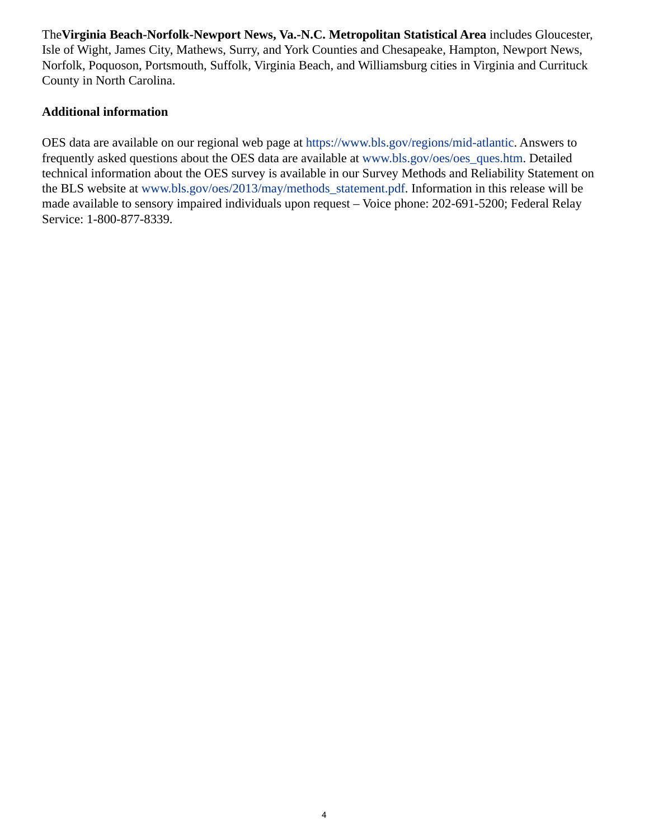The**Virginia Beach-Norfolk-Newport News, Va.-N.C. Metropolitan Statistical Area** includes Gloucester, Isle of Wight, James City, Mathews, Surry, and York Counties and Chesapeake, Hampton, Newport News, Norfolk, Poquoson, Portsmouth, Suffolk, Virginia Beach, and Williamsburg cities in Virginia and Currituck County in North Carolina.

## **Additional information**

OES data are available on our regional web page at <https://www.bls.gov/regions/mid-atlantic>. Answers to frequently asked questions about the OES data are available at [www.bls.gov/oes/oes\\_ques.htm](https://www.bls.gov/oes/oes_ques.htm). Detailed technical information about the OES survey is available in our Survey Methods and Reliability Statement on the BLS website at [www.bls.gov/oes/2013/may/methods\\_statement.pdf](https://www.bls.gov/oes/2013/may/methods_statement.pdf). Information in this release will be made available to sensory impaired individuals upon request – Voice phone: 202-691-5200; Federal Relay Service: 1-800-877-8339.